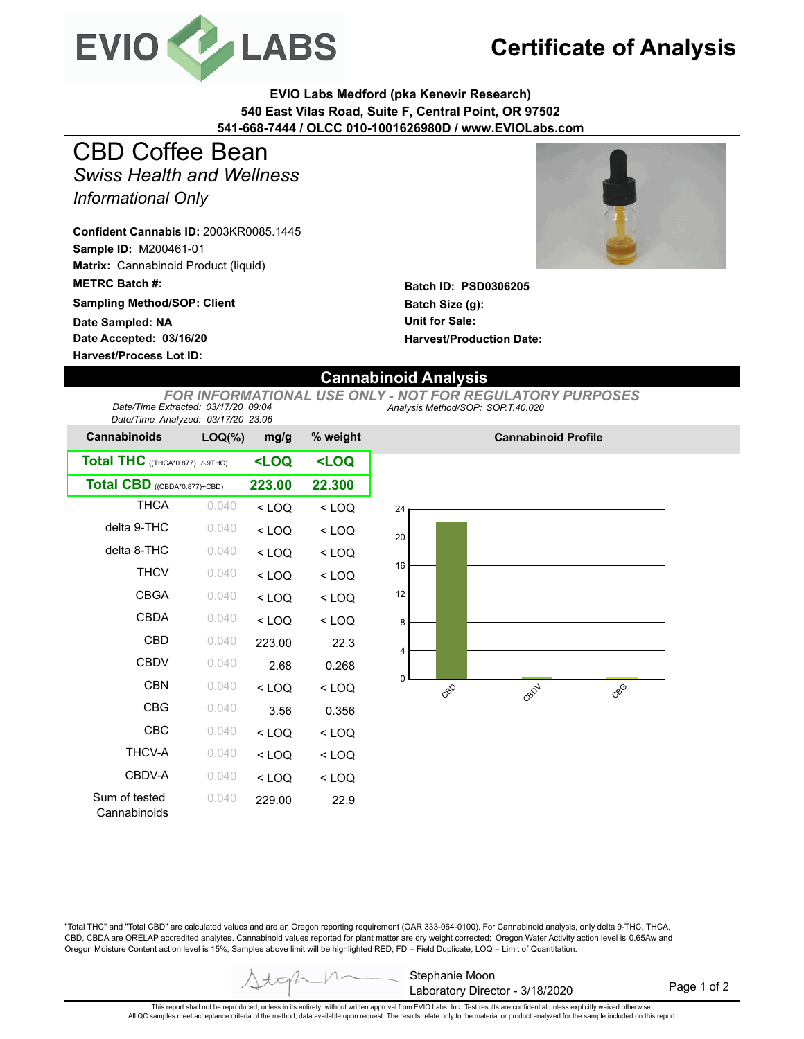

## **Certificate of Analysis**

**EVIO Labs Medford (pka Kenevir Research) 540 East Vilas Road, Suite F, Central Point, OR 97502 541-668-7444 / OLCC 010-1001626980D / www.EVIOLabs.com**

*Swiss Health and Wellness Informational Only* CBD Coffee Bean

**Sample ID:** M200461-01 **Matrix:** Cannabinoid Product (liquid) **METRC Batch #: Confident Cannabis ID:** 2003KR0085.1445

**Sampling Method/SOP: Client**

**Date Accepted: 03/16/20 Harvest/Process Lot ID: Date Sampled: NA**



**Batch ID: PSD0306205 Batch Size (g): Unit for Sale: Harvest/Production Date:** 

## **Cannabinoid Analysis**

*Analysis Method/SOP: SOP.T.40.020 FOR INFORMATIONAL USE ONLY - NOT FOR REGULATORY PURPOSES Date/Time Extracted: 03/17/20 09:04 Date/Time Analyzed: 03/17/20 23:06*

| batch ring fundiyzed. Contribute 20.00<br><b>Cannabinoids</b> | $LOQ(\%)$                                       | mg/g                | % weight |
|---------------------------------------------------------------|-------------------------------------------------|---------------------|----------|
| Total THC ((THCA*0.877)+ A9THC)                               | <loq< th=""><th><loq< th=""></loq<></th></loq<> | <loq< th=""></loq<> |          |
| Total CBD ((CBDA*0.877)+CBD)                                  | 223.00                                          | 22.300              |          |
| <b>THCA</b>                                                   | 0.040                                           | $<$ LOQ             | $<$ LOQ  |
| delta 9-THC                                                   | 0.040                                           | $<$ LOQ             | $<$ LOQ  |
| delta 8-THC                                                   | 0.040                                           | $<$ LOQ             | $<$ LOQ  |
| <b>THCV</b>                                                   | 0.040                                           | $<$ LOQ             | $<$ LOQ  |
| <b>CBGA</b>                                                   | 0.040                                           | $<$ LOQ             | $<$ LOQ  |
| CBDA                                                          | 0.040                                           | $<$ LOQ             | $<$ LOQ  |
| CBD                                                           | 0.040                                           | 223.00              | 22.3     |
| CBDV                                                          | 0.040                                           | 2.68                | 0.268    |
| CBN                                                           | 0.040                                           | $<$ LOO             | $<$ LOQ  |
| CBG                                                           | 0.040                                           | 3.56                | 0.356    |
| CBC                                                           | 0.040                                           | $<$ LOQ             | $<$ LOQ  |
| <b>THCV-A</b>                                                 | 0.040                                           | $<$ LOQ             | $<$ LOQ  |
| CBDV-A                                                        | 0.040                                           | $<$ LOQ             | $<$ LOQ  |
| Sum of tested<br>Cannabinoids                                 | 0.040                                           | 229.00              | 22.9     |



**Cannabinoid Profile**

"Total THC" and "Total CBD" are calculated values and are an Oregon reporting requirement (OAR 333-064-0100). For Cannabinoid analysis, only delta 9-THC, THCA, CBD, CBDA are ORELAP accredited analytes. Cannabinoid values reported for plant matter are dry weight corrected; Oregon Water Activity action level is 0.65Aw and Oregon Moisture Content action level is 15%, Samples above limit will be highlighted RED; FD = Field Duplicate; LOQ = Limit of Quantitation.

Page 1 of 2

This report shall not be reproduced, unless in its entirety, without written approval from EVIO Labs, Inc. Test results are confidential unless explicitly waived otherwise. All QC samples meet acceptance criteria of the method; data available upon request. The results relate only to the material or product analyzed for the sample included on this report.